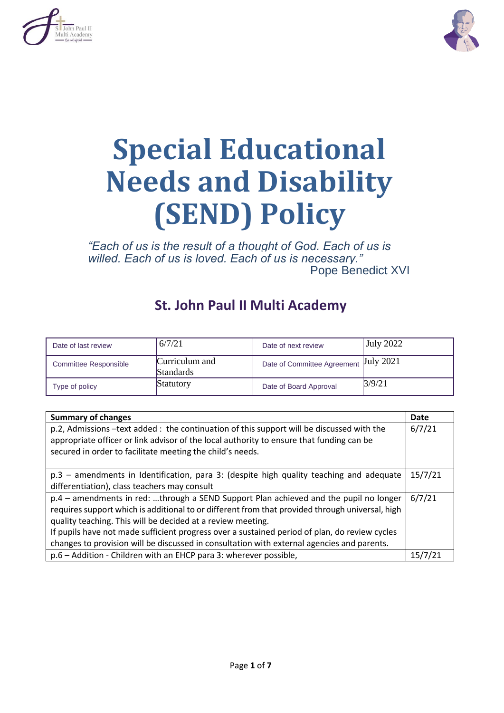



# **Special Educational Needs and Disability (SEND) Policy**

*"Each of us is the result of a thought of God. Each of us is willed. Each of us is loved. Each of us is necessary."* Pope Benedict XVI

# **St. John Paul II Multi Academy**

| Date of last review          | 6/7/21                      | Date of next review                   | July 2022 |
|------------------------------|-----------------------------|---------------------------------------|-----------|
| <b>Committee Responsible</b> | Curriculum and<br>Standards | Date of Committee Agreement July 2021 |           |
| Type of policy               | <b>Statutory</b>            | Date of Board Approval                | 3/9/21    |

| <b>Summary of changes</b>                                                                                                                                                            |        |  |
|--------------------------------------------------------------------------------------------------------------------------------------------------------------------------------------|--------|--|
| p.2, Admissions -text added: the continuation of this support will be discussed with the<br>appropriate officer or link advisor of the local authority to ensure that funding can be |        |  |
| secured in order to facilitate meeting the child's needs.                                                                                                                            |        |  |
|                                                                                                                                                                                      |        |  |
| p.3 - amendments in Identification, para 3: (despite high quality teaching and adequate                                                                                              |        |  |
| differentiation), class teachers may consult                                                                                                                                         |        |  |
| p.4 - amendments in red: through a SEND Support Plan achieved and the pupil no longer                                                                                                | 6/7/21 |  |
| requires support which is additional to or different from that provided through universal, high                                                                                      |        |  |
| quality teaching. This will be decided at a review meeting.                                                                                                                          |        |  |
| If pupils have not made sufficient progress over a sustained period of plan, do review cycles                                                                                        |        |  |
| changes to provision will be discussed in consultation with external agencies and parents.                                                                                           |        |  |
| p.6 - Addition - Children with an EHCP para 3: wherever possible,                                                                                                                    |        |  |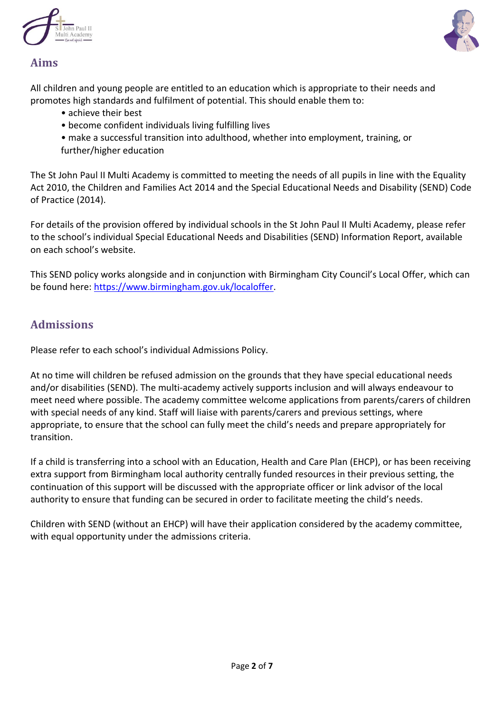



#### **Aims**

All children and young people are entitled to an education which is appropriate to their needs and promotes high standards and fulfilment of potential. This should enable them to:

- achieve their best
- become confident individuals living fulfilling lives
- make a successful transition into adulthood, whether into employment, training, or
- further/higher education

The St John Paul II Multi Academy is committed to meeting the needs of all pupils in line with the Equality Act 2010, the Children and Families Act 2014 and the Special Educational Needs and Disability (SEND) Code of Practice (2014).

For details of the provision offered by individual schools in the St John Paul II Multi Academy, please refer to the school's individual Special Educational Needs and Disabilities (SEND) Information Report, available on each school's website.

This SEND policy works alongside and in conjunction with Birmingham City Council's Local Offer, which can be found here: [https://www.birmingham.gov.uk/localoffer.](https://www.birmingham.gov.uk/localoffer)

#### **Admissions**

Please refer to each school's individual Admissions Policy.

At no time will children be refused admission on the grounds that they have special educational needs and/or disabilities (SEND). The multi-academy actively supports inclusion and will always endeavour to meet need where possible. The academy committee welcome applications from parents/carers of children with special needs of any kind. Staff will liaise with parents/carers and previous settings, where appropriate, to ensure that the school can fully meet the child's needs and prepare appropriately for transition.

If a child is transferring into a school with an Education, Health and Care Plan (EHCP), or has been receiving extra support from Birmingham local authority centrally funded resources in their previous setting, the continuation of this support will be discussed with the appropriate officer or link advisor of the local authority to ensure that funding can be secured in order to facilitate meeting the child's needs.

Children with SEND (without an EHCP) will have their application considered by the academy committee, with equal opportunity under the admissions criteria.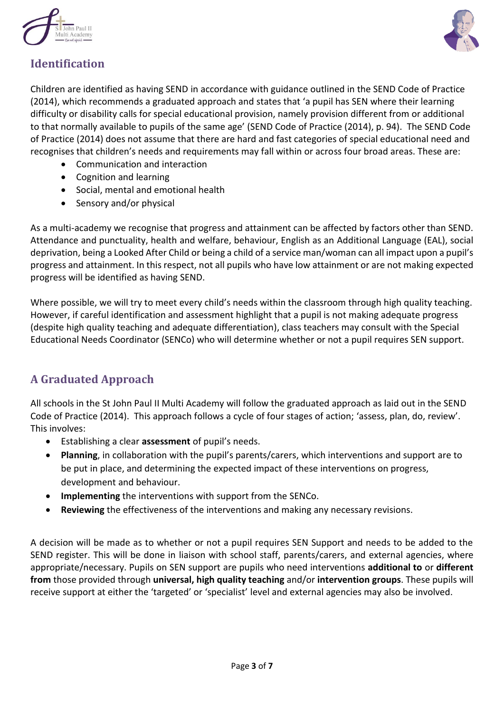



# **Identification**

Children are identified as having SEND in accordance with guidance outlined in the SEND Code of Practice (2014), which recommends a graduated approach and states that 'a pupil has SEN where their learning difficulty or disability calls for special educational provision, namely provision different from or additional to that normally available to pupils of the same age' (SEND Code of Practice (2014), p. 94). The SEND Code of Practice (2014) does not assume that there are hard and fast categories of special educational need and recognises that children's needs and requirements may fall within or across four broad areas. These are:

- Communication and interaction
- Cognition and learning
- Social, mental and emotional health
- Sensory and/or physical

As a multi-academy we recognise that progress and attainment can be affected by factors other than SEND. Attendance and punctuality, health and welfare, behaviour, English as an Additional Language (EAL), social deprivation, being a Looked After Child or being a child of a service man/woman can all impact upon a pupil's progress and attainment. In this respect, not all pupils who have low attainment or are not making expected progress will be identified as having SEND.

Where possible, we will try to meet every child's needs within the classroom through high quality teaching. However, if careful identification and assessment highlight that a pupil is not making adequate progress (despite high quality teaching and adequate differentiation), class teachers may consult with the Special Educational Needs Coordinator (SENCo) who will determine whether or not a pupil requires SEN support.

## **A Graduated Approach**

All schools in the St John Paul II Multi Academy will follow the graduated approach as laid out in the SEND Code of Practice (2014). This approach follows a cycle of four stages of action; 'assess, plan, do, review'. This involves:

- Establishing a clear **assessment** of pupil's needs.
- **Planning**, in collaboration with the pupil's parents/carers, which interventions and support are to be put in place, and determining the expected impact of these interventions on progress, development and behaviour.
- **Implementing** the interventions with support from the SENCo.
- **Reviewing** the effectiveness of the interventions and making any necessary revisions.

A decision will be made as to whether or not a pupil requires SEN Support and needs to be added to the SEND register. This will be done in liaison with school staff, parents/carers, and external agencies, where appropriate/necessary. Pupils on SEN support are pupils who need interventions **additional to** or **different from** those provided through **universal, high quality teaching** and/or **intervention groups**. These pupils will receive support at either the 'targeted' or 'specialist' level and external agencies may also be involved.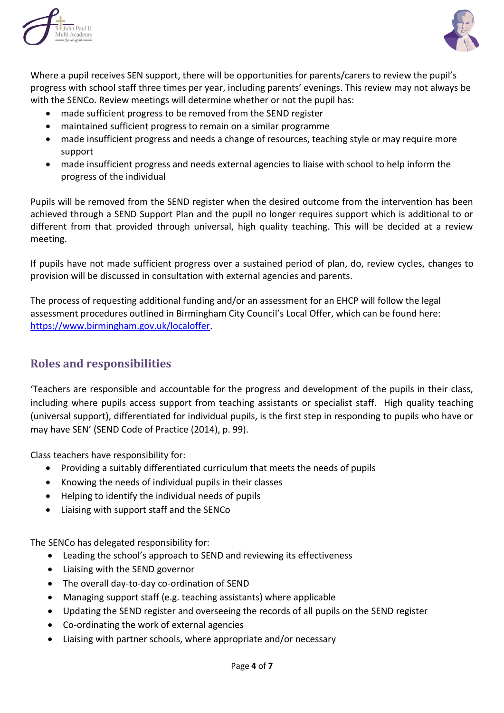



Where a pupil receives SEN support, there will be opportunities for parents/carers to review the pupil's progress with school staff three times per year, including parents' evenings. This review may not always be with the SENCo. Review meetings will determine whether or not the pupil has:

- made sufficient progress to be removed from the SEND register
- maintained sufficient progress to remain on a similar programme
- made insufficient progress and needs a change of resources, teaching style or may require more support
- made insufficient progress and needs external agencies to liaise with school to help inform the progress of the individual

Pupils will be removed from the SEND register when the desired outcome from the intervention has been achieved through a SEND Support Plan and the pupil no longer requires support which is additional to or different from that provided through universal, high quality teaching. This will be decided at a review meeting.

If pupils have not made sufficient progress over a sustained period of plan, do, review cycles, changes to provision will be discussed in consultation with external agencies and parents.

The process of requesting additional funding and/or an assessment for an EHCP will follow the legal assessment procedures outlined in Birmingham City Council's Local Offer, which can be found here: [https://www.birmingham.gov.uk/localoffer.](https://www.birmingham.gov.uk/localoffer)

## **Roles and responsibilities**

'Teachers are responsible and accountable for the progress and development of the pupils in their class, including where pupils access support from teaching assistants or specialist staff. High quality teaching (universal support), differentiated for individual pupils, is the first step in responding to pupils who have or may have SEN' (SEND Code of Practice (2014), p. 99).

Class teachers have responsibility for:

- Providing a suitably differentiated curriculum that meets the needs of pupils
- Knowing the needs of individual pupils in their classes
- Helping to identify the individual needs of pupils
- Liaising with support staff and the SENCo

The SENCo has delegated responsibility for:

- Leading the school's approach to SEND and reviewing its effectiveness
- Liaising with the SEND governor
- The overall day-to-day co-ordination of SEND
- Managing support staff (e.g. teaching assistants) where applicable
- Updating the SEND register and overseeing the records of all pupils on the SEND register
- Co-ordinating the work of external agencies
- Liaising with partner schools, where appropriate and/or necessary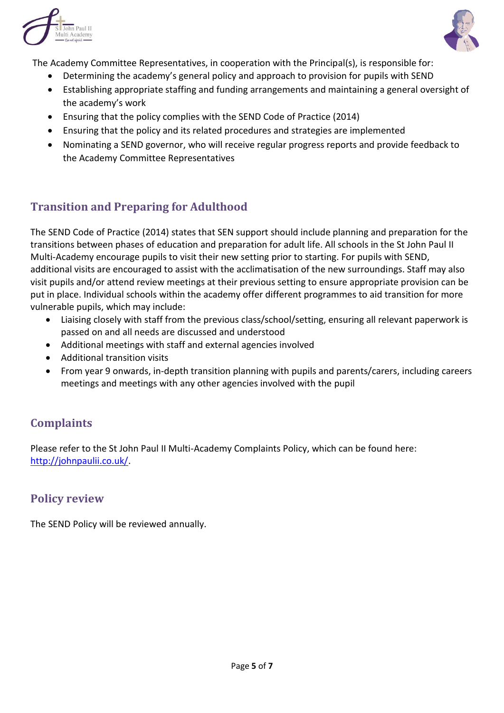



The Academy Committee Representatives, in cooperation with the Principal(s), is responsible for:

- Determining the academy's general policy and approach to provision for pupils with SEND
- Establishing appropriate staffing and funding arrangements and maintaining a general oversight of the academy's work
- Ensuring that the policy complies with the SEND Code of Practice (2014)
- Ensuring that the policy and its related procedures and strategies are implemented
- Nominating a SEND governor, who will receive regular progress reports and provide feedback to the Academy Committee Representatives

# **Transition and Preparing for Adulthood**

The SEND Code of Practice (2014) states that SEN support should include planning and preparation for the transitions between phases of education and preparation for adult life. All schools in the St John Paul II Multi-Academy encourage pupils to visit their new setting prior to starting. For pupils with SEND, additional visits are encouraged to assist with the acclimatisation of the new surroundings. Staff may also visit pupils and/or attend review meetings at their previous setting to ensure appropriate provision can be put in place. Individual schools within the academy offer different programmes to aid transition for more vulnerable pupils, which may include:

- Liaising closely with staff from the previous class/school/setting, ensuring all relevant paperwork is passed on and all needs are discussed and understood
- Additional meetings with staff and external agencies involved
- Additional transition visits
- From year 9 onwards, in-depth transition planning with pupils and parents/carers, including careers meetings and meetings with any other agencies involved with the pupil

# **Complaints**

Please refer to the St John Paul II Multi-Academy Complaints Policy, which can be found here: [http://johnpaulii.co.uk/.](http://johnpaulii.co.uk/)

## **Policy review**

The SEND Policy will be reviewed annually.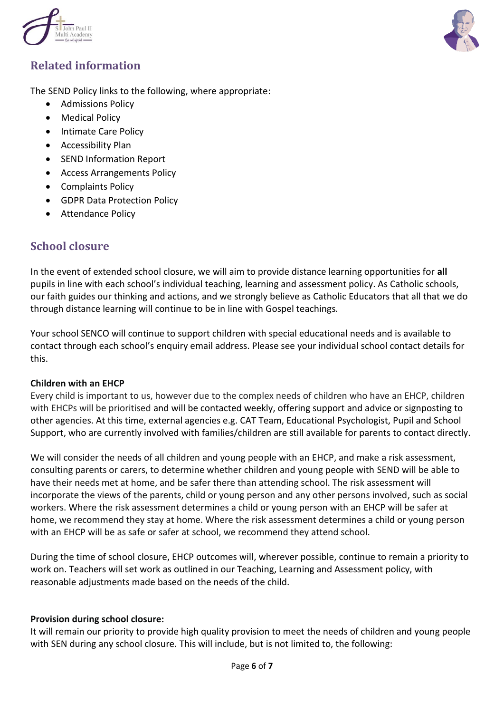



# **Related information**

The SEND Policy links to the following, where appropriate:

- Admissions Policy
- Medical Policy
- Intimate Care Policy
- Accessibility Plan
- SEND Information Report
- Access Arrangements Policy
- Complaints Policy
- GDPR Data Protection Policy
- Attendance Policy

## **School closure**

In the event of extended school closure, we will aim to provide distance learning opportunities for **all** pupils in line with each school's individual teaching, learning and assessment policy. As Catholic schools, our faith guides our thinking and actions, and we strongly believe as Catholic Educators that all that we do through distance learning will continue to be in line with Gospel teachings.

Your school SENCO will continue to support children with special educational needs and is available to contact through each school's enquiry email address. Please see your individual school contact details for this.

#### **Children with an EHCP**

Every child is important to us, however due to the complex needs of children who have an EHCP, children with EHCPs will be prioritised and will be contacted weekly, offering support and advice or signposting to other agencies. At this time, external agencies e.g. CAT Team, Educational Psychologist, Pupil and School Support, who are currently involved with families/children are still available for parents to contact directly.

We will consider the needs of all children and young people with an EHCP, and make a risk assessment, consulting parents or carers, to determine whether children and young people with SEND will be able to have their needs met at home, and be safer there than attending school. The risk assessment will incorporate the views of the parents, child or young person and any other persons involved, such as social workers. Where the risk assessment determines a child or young person with an EHCP will be safer at home, we recommend they stay at home. Where the risk assessment determines a child or young person with an EHCP will be as safe or safer at school, we recommend they attend school.

During the time of school closure, EHCP outcomes will, wherever possible, continue to remain a priority to work on. Teachers will set work as outlined in our Teaching, Learning and Assessment policy, with reasonable adjustments made based on the needs of the child.

#### **Provision during school closure:**

It will remain our priority to provide high quality provision to meet the needs of children and young people with SEN during any school closure. This will include, but is not limited to, the following: